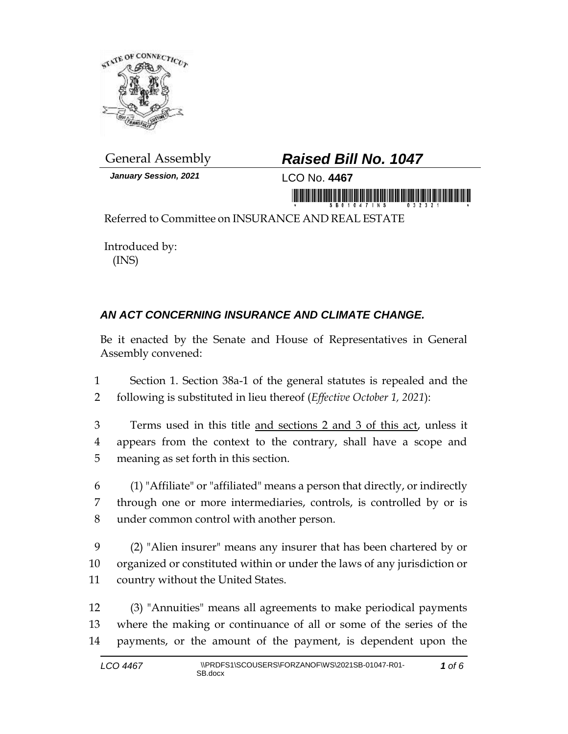

*January Session, 2021* LCO No. **4467**

## General Assembly *Raised Bill No. 1047*

in monoidinininininin monii iliin monoi

Referred to Committee on INSURANCE AND REAL ESTATE

Introduced by: (INS)

## *AN ACT CONCERNING INSURANCE AND CLIMATE CHANGE.*

Be it enacted by the Senate and House of Representatives in General Assembly convened:

1 Section 1. Section 38a-1 of the general statutes is repealed and the 2 following is substituted in lieu thereof (*Effective October 1, 2021*):

- 3 Terms used in this title and sections 2 and 3 of this act, unless it 4 appears from the context to the contrary, shall have a scope and 5 meaning as set forth in this section.
- 6 (1) "Affiliate" or "affiliated" means a person that directly, or indirectly 7 through one or more intermediaries, controls, is controlled by or is 8 under common control with another person.
- 9 (2) "Alien insurer" means any insurer that has been chartered by or 10 organized or constituted within or under the laws of any jurisdiction or 11 country without the United States.
- 12 (3) "Annuities" means all agreements to make periodical payments 13 where the making or continuance of all or some of the series of the 14 payments, or the amount of the payment, is dependent upon the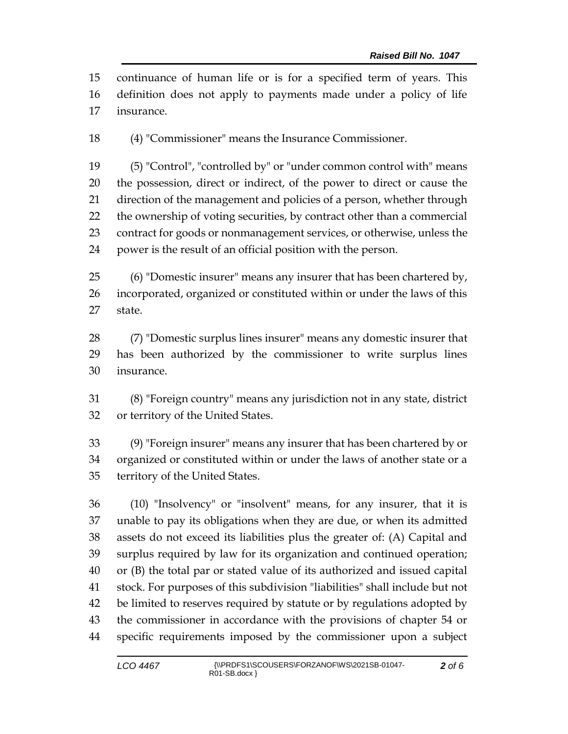continuance of human life or is for a specified term of years. This definition does not apply to payments made under a policy of life insurance.

(4) "Commissioner" means the Insurance Commissioner.

 (5) "Control", "controlled by" or "under common control with" means the possession, direct or indirect, of the power to direct or cause the direction of the management and policies of a person, whether through the ownership of voting securities, by contract other than a commercial contract for goods or nonmanagement services, or otherwise, unless the power is the result of an official position with the person.

 (6) "Domestic insurer" means any insurer that has been chartered by, incorporated, organized or constituted within or under the laws of this state.

 (7) "Domestic surplus lines insurer" means any domestic insurer that has been authorized by the commissioner to write surplus lines insurance.

 (8) "Foreign country" means any jurisdiction not in any state, district or territory of the United States.

 (9) "Foreign insurer" means any insurer that has been chartered by or organized or constituted within or under the laws of another state or a territory of the United States.

 (10) "Insolvency" or "insolvent" means, for any insurer, that it is unable to pay its obligations when they are due, or when its admitted assets do not exceed its liabilities plus the greater of: (A) Capital and surplus required by law for its organization and continued operation; or (B) the total par or stated value of its authorized and issued capital stock. For purposes of this subdivision "liabilities" shall include but not be limited to reserves required by statute or by regulations adopted by the commissioner in accordance with the provisions of chapter 54 or specific requirements imposed by the commissioner upon a subject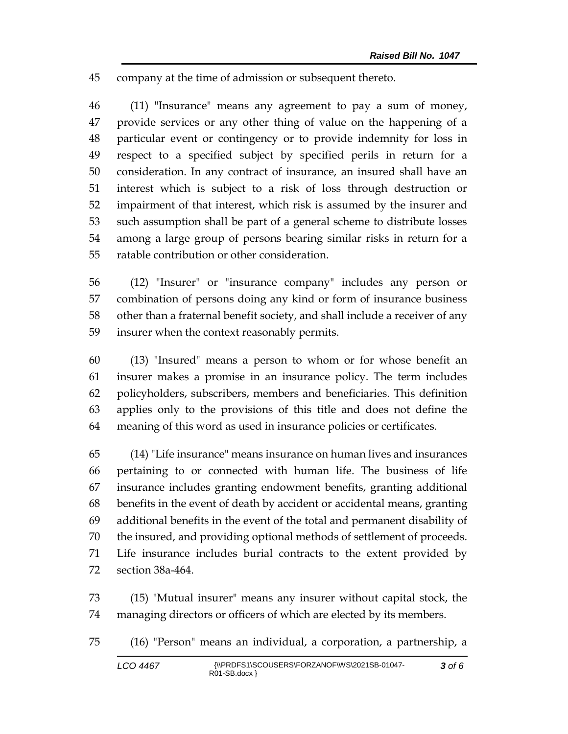company at the time of admission or subsequent thereto.

 (11) "Insurance" means any agreement to pay a sum of money, provide services or any other thing of value on the happening of a particular event or contingency or to provide indemnity for loss in respect to a specified subject by specified perils in return for a consideration. In any contract of insurance, an insured shall have an interest which is subject to a risk of loss through destruction or impairment of that interest, which risk is assumed by the insurer and such assumption shall be part of a general scheme to distribute losses among a large group of persons bearing similar risks in return for a ratable contribution or other consideration.

 (12) "Insurer" or "insurance company" includes any person or combination of persons doing any kind or form of insurance business other than a fraternal benefit society, and shall include a receiver of any insurer when the context reasonably permits.

 (13) "Insured" means a person to whom or for whose benefit an insurer makes a promise in an insurance policy. The term includes policyholders, subscribers, members and beneficiaries. This definition applies only to the provisions of this title and does not define the meaning of this word as used in insurance policies or certificates.

 (14) "Life insurance" means insurance on human lives and insurances pertaining to or connected with human life. The business of life insurance includes granting endowment benefits, granting additional benefits in the event of death by accident or accidental means, granting additional benefits in the event of the total and permanent disability of the insured, and providing optional methods of settlement of proceeds. Life insurance includes burial contracts to the extent provided by section 38a-464.

 (15) "Mutual insurer" means any insurer without capital stock, the managing directors or officers of which are elected by its members.

(16) "Person" means an individual, a corporation, a partnership, a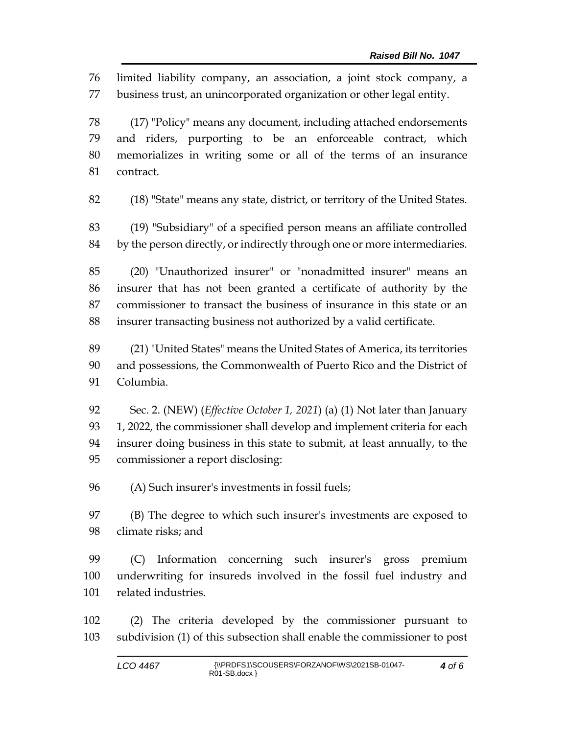limited liability company, an association, a joint stock company, a business trust, an unincorporated organization or other legal entity.

 (17) "Policy" means any document, including attached endorsements and riders, purporting to be an enforceable contract, which memorializes in writing some or all of the terms of an insurance contract.

(18) "State" means any state, district, or territory of the United States.

 (19) "Subsidiary" of a specified person means an affiliate controlled by the person directly, or indirectly through one or more intermediaries.

 (20) "Unauthorized insurer" or "nonadmitted insurer" means an insurer that has not been granted a certificate of authority by the commissioner to transact the business of insurance in this state or an insurer transacting business not authorized by a valid certificate.

 (21) "United States" means the United States of America, its territories and possessions, the Commonwealth of Puerto Rico and the District of Columbia.

 Sec. 2. (NEW) (*Effective October 1, 2021*) (a) (1) Not later than January 93 1, 2022, the commissioner shall develop and implement criteria for each insurer doing business in this state to submit, at least annually, to the commissioner a report disclosing:

(A) Such insurer's investments in fossil fuels;

 (B) The degree to which such insurer's investments are exposed to climate risks; and

 (C) Information concerning such insurer's gross premium underwriting for insureds involved in the fossil fuel industry and related industries.

 (2) The criteria developed by the commissioner pursuant to subdivision (1) of this subsection shall enable the commissioner to post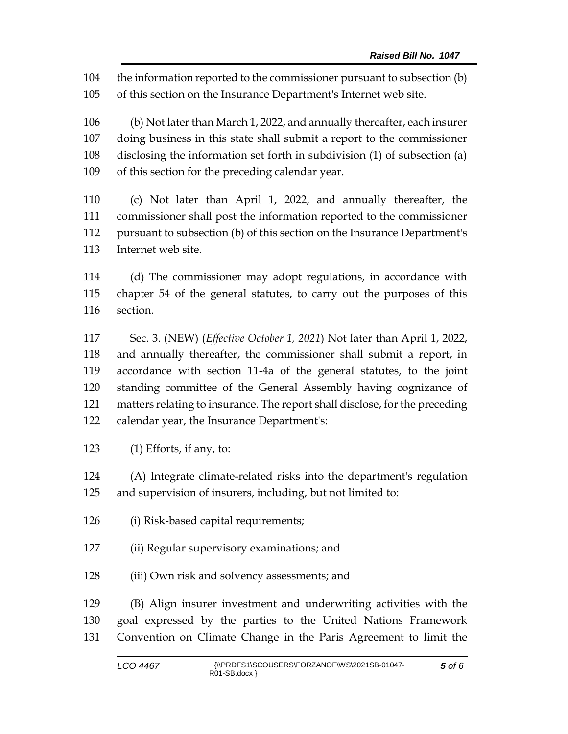the information reported to the commissioner pursuant to subsection (b) of this section on the Insurance Department's Internet web site.

 (b) Not later than March 1, 2022, and annually thereafter, each insurer doing business in this state shall submit a report to the commissioner disclosing the information set forth in subdivision (1) of subsection (a) of this section for the preceding calendar year.

 (c) Not later than April 1, 2022, and annually thereafter, the commissioner shall post the information reported to the commissioner pursuant to subsection (b) of this section on the Insurance Department's Internet web site.

 (d) The commissioner may adopt regulations, in accordance with chapter 54 of the general statutes, to carry out the purposes of this section.

 Sec. 3. (NEW) (*Effective October 1, 2021*) Not later than April 1, 2022, and annually thereafter, the commissioner shall submit a report, in accordance with section 11-4a of the general statutes, to the joint standing committee of the General Assembly having cognizance of matters relating to insurance. The report shall disclose, for the preceding calendar year, the Insurance Department's:

(1) Efforts, if any, to:

 (A) Integrate climate-related risks into the department's regulation and supervision of insurers, including, but not limited to:

- (i) Risk-based capital requirements;
- (ii) Regular supervisory examinations; and
- (iii) Own risk and solvency assessments; and

 (B) Align insurer investment and underwriting activities with the goal expressed by the parties to the United Nations Framework Convention on Climate Change in the Paris Agreement to limit the